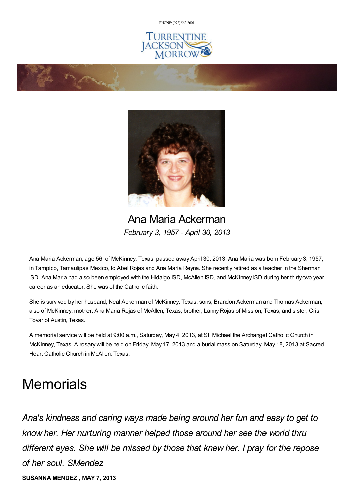PHONE: (972) [562-2601](tel:(972) 562-2601)







Ana Maria Ackerman *February 3, 1957 - April 30, 2013*

Ana Maria Ackerman, age 56, of McKinney, Texas, passed away April 30, 2013. Ana Maria was born February 3, 1957, in Tampico, Tamaulipas Mexico, to Abel Rojas and Ana Maria Reyna. She recently retired as a teacher in the Sherman ISD. Ana Maria had also been employed with the Hidalgo ISD, McAllen ISD, and McKinney ISD during her thirty-two year career as an educator. She was of the Catholic faith.

She is survived by her husband, Neal Ackerman of McKinney, Texas; sons, Brandon Ackerman and Thomas Ackerman, also of McKinney; mother, Ana Maria Rojas of McAllen, Texas; brother, Lanny Rojas of Mission, Texas; and sister, Cris Tovar of Austin, Texas.

A memorial service will be held at 9:00 a.m., Saturday, May 4, 2013, at St. Michael the Archangel Catholic Church in McKinney, Texas. A rosary will be held on Friday, May 17, 2013 and a burial mass on Saturday, May 18, 2013 at Sacred Heart Catholic Church in McAllen, Texas.

## **Memorials**

*Ana's kindness and caring ways made being around her fun and easy to get to know her. Her nurturing manner helped those around her see the world thru different eyes. She will be missed by those that knew her. I pray for the repose of her soul. SMendez* **SUSANNA MENDEZ , MAY 7, 2013**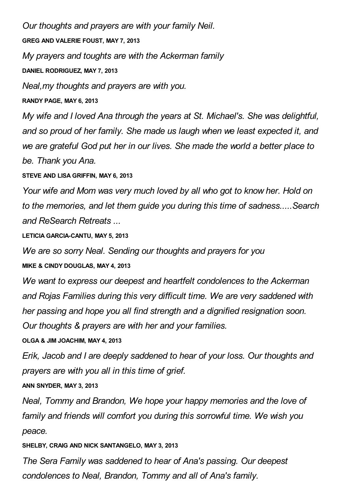*Our thoughts and prayers are with your family Neil.* **GREG AND VALERIE FOUST, MAY 7, 2013** *My prayers and toughts are with the Ackerman family* **DANIEL RODRIGUEZ, MAY 7, 2013** *Neal,my thoughts and prayers are with you.*

**RANDY PAGE, MAY 6, 2013**

*My wife and I loved Ana through the years at St. Michael's. She was delightful, and so proud of her family. She made us laugh when we least expected it, and we are grateful God put her in our lives. She made the world a better place to be. Thank you Ana.*

**STEVE AND LISA GRIFFIN, MAY 6, 2013**

*Your wife and Mom was very much loved by all who got to know her. Hold on to the memories, and let them guide you during this time of sadness.....Search and ReSearch Retreats ...*

**LETICIA GARCIA-CANTU, MAY 5, 2013**

*We are so sorry Neal. Sending our thoughts and prayers for you*

**MIKE & CINDY DOUGLAS, MAY 4, 2013**

*We want to express our deepest and heartfelt condolences to the Ackerman and Rojas Families during this very difficult time. We are very saddened with her passing and hope you all find strength and a dignified resignation soon. Our thoughts & prayers are with her and your families.*

**OLGA & JIM JOACHIM, MAY 4, 2013**

*Erik, Jacob and I are deeply saddened to hear of your loss. Our thoughts and prayers are with you all in this time of grief.*

**ANN SNYDER, MAY 3, 2013**

*Neal, Tommy and Brandon, We hope your happy memories and the love of family and friends will comfort you during this sorrowful time. We wish you peace.*

**SHELBY, CRAIG AND NICK SANTANGELO, MAY 3, 2013**

*The Sera Family was saddened to hear of Ana's passing. Our deepest condolences to Neal, Brandon, Tommy and all of Ana's family.*